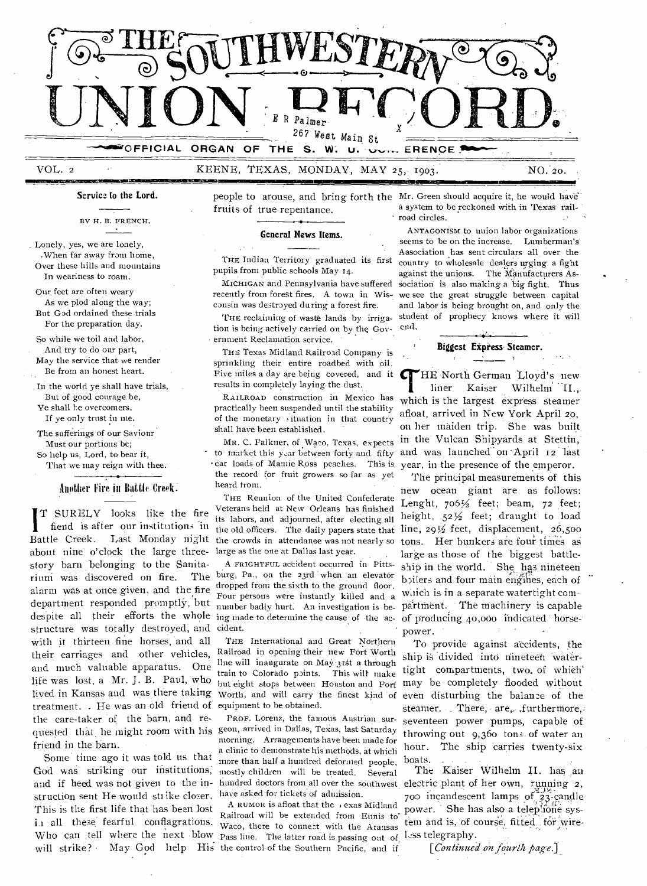

VOL. 2 KEENE, TEXAS, MONDAY, MAY 25, 1903. NO.- 20. •

**Service to the Lord.** 

BY H. FRENCH.

Lonely, yes, we are lonely, .When far away from home, Over these hills and mountains In weariness to roam.

Our feet are often weary As we plod along the way; But God ordained these trials For the preparation day.

So while we toil and labor, And try to do our part, May the service that we render Be from an honest heart.

In the world ye shall have trials, But of good courage be, Ye shall be overcomers, If ye only trust in me.

The sufferings of our Saviour Must our portions be; So help us, Lord, to bear it, That we may reign with thee.

# Another Fire in Battle Creek.

structure was totally destroyed, and cident. quested that he might room with his geon, arrived in Dallas, Texas, last Saturday Battle Creek. T SURELY looks like the fire fiend is after our institutions in about nine o'clock the large threestory barn belonging to the Sanitarium was discovered on fire. The alarm was at once given, and the fire department responded promptly, but with it thirteen fine horses, and all their carriages and other vehicles, and much valuable apparatus. One life was lost, a Mr. J. B. Paul, who lived in Kansas and was there taking treatment. - He was an old friend of the care-taker 'of the barn, and refriend in the barn.

God was striking our institutions, mostly children will be treated. Several struction sent He would stilke closer. have asked for tickets of admission. in all these fearful conflagrations. Waco, there to connect with the Aransas Who can tell where the next blow pass line. The latter road is passing out of, less telegraphy. will strike? May God help His the control of the Southern Pacific, and if Some time ago it was told us that This is the first life that has been lost

people to arouse, and bring forth the Mr. Green should acquire it, he would have fruits of true repentance. a system to be reckoned with in Texas railroad circles.

#### **General News Items.**

THE Indian Territory graduated its first pupils from public schools May 14.

MICHIGAN and Pennsylvania have suffered recently from forest fires. A town in Wisconsin was destroyed during a forest fire.

THE reclaiming of waste lands by irrigation is being actively carried on by the Government Reclamation service.

THE Texas Midland Railroad Company is sprinkling their entire roadbed with oil. results in completely laying the dust.

RAILROAD construction in Mexico has practically been suspended until the stability of the monetary ituation in that country shall have been established.

MR. C. Falkner, of Waco, Texas, expects to market this year between forty and fifty • car loads of Mamie Ross peaches. This is the record for fruit growers so far as yet heard from.

THE Reunion of the United Confederate Veterans held at New Orleans has finished its labors, and adjourned, after electing all the old officers. The daily papers state that Battle Creek. Last Monday night the crowds in attendance was not nearly so large as the one at Dallas last year.

A FRIGHTFUL accident occurred in Pittsburg, Pa., on the 23rd when an elevator dropped from the sixth to the ground floor. Four persons were instantly killed and a number badly hurt: An investigation is bedespite all their efforts the whole ing made to determine the cause of the ac- of producing 40,000 indicated horse-

> THE International and Great Northern Railroad in opening their new Fort Worth line will inaugurate on May 3rst a through train to Colorado points. This will make but eight stops between Houston. and Fort Worth, and will carry the finest kind of equipment to he obtained.

> PROF. Lorenz, the famous Austrian surmorning. Arrangements have been made for a clinic to demonstrate his methods, at which more than half a hundred deformed people,

A RUMOR is afloat that the  $\sqrt{1}$  exas Midland Railroad will be extended from Ennis to Railroad will be extended from Ennis to'

ANTAGONISM to union labor organizations seems to be on the increase. Lumberman's Aasociation has sent circulars all over the country to wholesale dealers urging a fight against the unions. The Manufacturers Association is also making a big fight. Thus we see the great struggle between capital and labor is being brought on, and only the student of prophecy knows where it will end.

**tiallIISMSEMIN=SIMMINNIIMMIM** 

#### **Biggest Eipress Steamer.**

 $\rightarrow$ 

Five miles a day are being covered, and it THE North German Lloyd's new<br>results in completely laying the dust. The Heather Kaiser Wilhelm II., liner Kaiser Wilhelm II., which is the largest express steamer afloat, arrived in New York April 20, on her maiden trip. She was built in the Vulcan Shipyards at Stettin, and was launched on April 12 last year, in the presence of the emperor.

The principal measurements of this new ocean giant are as follows: Lenght,  $706\frac{1}{2}$  feet; beam,  $72$  feet; height,  $52\frac{1}{2}$  feet; draught to load line,  $29\frac{1}{2}$  feet, displacement,  $26,500$ tons. Her bunkers are four times as large as those of the biggest battleship in the world. She has nineteen b)ilers and four main engines, each of which is in a separate watertight comparttnent. The machinery is capable power.

To provide against accidents, the ship is divided into nineteen watertight compartments, two. of which` may be completely flooded without even disturbing the balance of the steamer. There, are, furthermore, seventeen power pumps, capable of throwing out 9,36o tons of water an hour. The ship carries twenty-six boats.

and if heed was not given to the in-hundred doctors from all over the southwest electric plant of her own, running 2, The Kaiser Wilhelm II. has an 700 incandescent lamps of  $23$ -candle power. She has also a telephone system and is, of course, fitted for wire-

[Continued on fourth page.]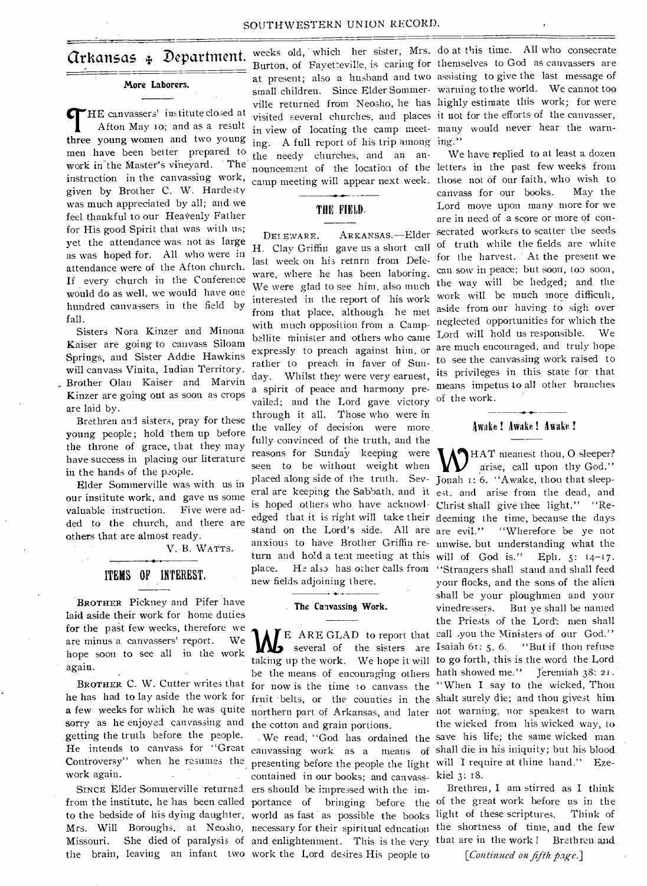# Arkansas Department.

#### **More Laborers.**

*Cr*HE canvassers' institute closed at Afton May to; and as a result **three young** women and two young men have been better prepared to work in the Master's vineyard. The instruction in the canvassing work, given by Brother C. W. Hardesty was much appreciated by all; and we feel thankful to our Heavenly Father for His good Spirit that was with us; yet the attendance was not as large as was hoped for. All who were in attendance were of the Afton church. If every church in the Conference would do as well, we would have one hundred canvassers in the field by fall.

Sisters Nora Kinzer and Minona Kaiser are going to canvass Siloam Springs, and Sister Addie Hawkins will canvass Vinita, Indian Territory. Brother Olan Kaiser and Marvin Kinzer are going out as soon as crops are laid by.

Brethren and sisters, pray for these young people; hold them up before the throne of grace, that they may have success in placing our literature in the hands of the people.

Elder Sommerville was with us in our institute work, and gave us some valuable instruction. Five were added to the church, and there are others that are almost ready.

V. B. WATTS.

# **ITEMS OF INTEREST.**

**BROTHER** Pickney and Pifer have laid aside their work for home duties for the past few weeks, therefore we are minus a canvassers' report. We hope soon to see all in the work again.

BROTHER C. W. Cutter writes that **he** has had to lay aside the work for **a** few weeks for which he was quite sorry as he enjoyed canvassing and getting the truth before the people. He intends to canvass for "Great Controversy" when he resumes the work again.

SINCE Elder Sommerville returned

**in** view of locating the camp meet-many would never hear the warning. A full report of his trip among ing." the needy churches, and an an-

## THE FIELD.

ware, where he has been laboring. interested in the report of his work from that place, although he met with much opposition from a Campvailed; and the Lord gave victory of the work. through it all. Those who were in the valley of decision were more, fully. convinced of the truth, and the reasons for Sunday keeping were seen to he without weight when placed along side of the truth. Sev-Jonah I: 6. "Awake, thou that sleepis hoped others who have acknowl-Christ shall give thee light." "Renew fields adjoining there.

#### **The Canvassing Work.**

the cotton and grain portions.

to the bedside of his dying daughter, world as fast as possible the books light of these scriptures. Think of Missouri. She died of paralysis of and enlightenment. This is the very that are in the work ! Brethren and the brain, leaving an infant two work the Lord desires His people to presenting before the people the light will I require at thine hand." Ezecontained in our books; and canvass-kiel 3: 18. ers should be impressed with the im-

weeks old, which her sister, Mrs. do at this time. All who consecrate Burton, of Fayetteville, is caring for themselves to God as canvassers are at present; also a husband and two assisting to give the last message of small children. Since Elder Sommer-warning to the world. We cannot too ville returned from Neosho, he has highly estimate this work; for were visited several churches, and places it not for the efforts of the canvasser,

nouncement of the location of the letters in the past few weeks from camp meeting will appear next week. those not of our faith, who wish to DELEWARE, ARKANSAS.—Elder secrated workers to scatter the seeds H. Clay Griffin gave us a short call of truth while the fields are white last week on his retnrn from Dele- for the harvest. At the present we ware, where he has been habiting.<br>We were glad to see him, also much the way will be hedged; and the bellite minister and others who came Lord will hold us responsible. We expressly to preach against him, or are much encouraged, and truly hope enfricting to preach in faver of Sun-to see the canvassing work raised to day. Whilst they were very earnest, its privileges in this state for that a spirit of peace and harmony pre- means impetus to all other branches We have replied to at least a dozen. canvass for our books. May the Lord move upon many more for we are in need of a score or more of concan sow in peace; but soon, too soon, work will be much more difficult, aside from our having to sigh over neglected opportunities for which the

#### Awake ! Awake ! Awake !

eral are keeping the Sabbath, and it est. and arise from the dead, and edged that it is right will . take their deeming the time, because the days stand on the Lord's side. All are are evil." "Wherefore be ye not anxious to have Brother Griffin re-unwise, but understanding what the turn and hold a tent meeting at this will of God is." Eph. 5: 14-17. place. He also has other calls from "Strangers shall stand and shall feed E ARE GLAD to report that call .you the Ministers of our God." several of the sisters are Isaiah 61: 5, 6.. "But if thou refuse taking up the work. We hope it will to go forth, this is the word the Lord be the means of encouraging others hath showed me." Jeremiah 38: 21. for now is the time to canvass the "When I say to the wicked, Thou fruit belts, or the counties in the shalt surely die; and thou givest him northern part of Arkansas, and later not warning, nor speakest to warn . We read, "God has ordained the save his life; the same wicked man canvassing work as a means of shall die in his iniquity; but his blood WHAT meanest thou, O sleeper?<br>
arise, call upon thy God." your flocks, and the sons of the alien shall be your ploughmen and your vinedressers. But ye shall be named the Priests of the Lord': men shall the wicked from his wicked way, to

from the institute, he has been called portance of bringing before the of the great work before us in the Mrs. Will Boroughs, at Neosho, necessary for their spiritual education the shortness of time, and the few Brethren, I am stirred as I think

*[Continued on fifth fiag-e.]*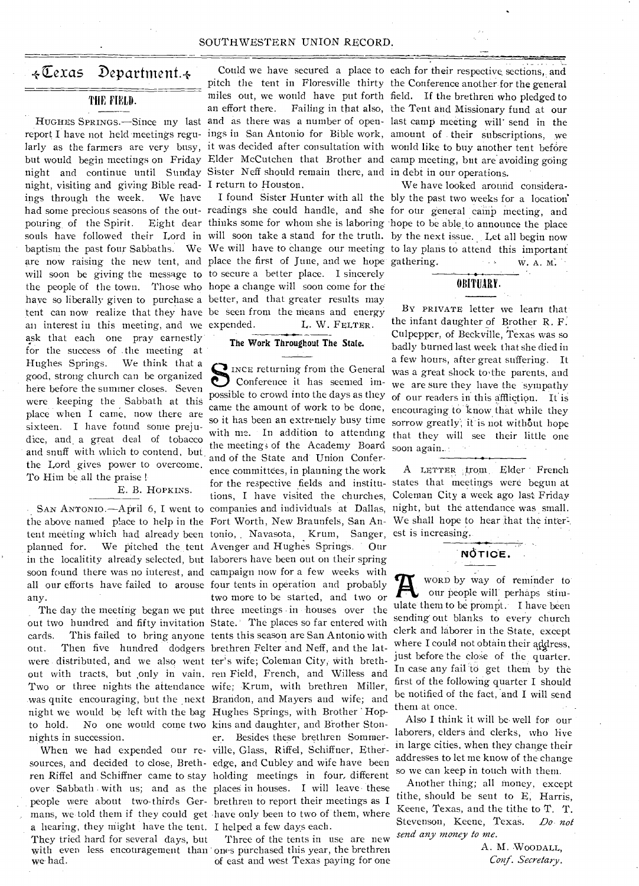#### SOUTHWESTERN UNION RECORD.

# $\leftarrow$ Cexas Department. $\leftarrow$

# THE FIELD.

report I have not held meetings regu-ings in San Antonio for Bible work, amount of their subscriptions, we larly as the farmers are very busy, it was decided after consultation with wonld like to buy another tent before but would begin meetings on Friday Elder McCutchen that Brother and camp meeting, but are avoiding going night and continue until Sunday Sister Neff should remain there, and in debt in our operations. night, visiting and giving Bible read-I return to Houston. ings through the week. We have had some precious seasons of the out- readings she could handle, and she for our general camp meeting, and pouring of the Spirit. Eight dear thinks some for whom she is laboring hope to be able to announce the place souls have followed their Lord in will soon take a stand for the truth. by the next issue. Let all begin now baptism the past four Sabbaths. We We will have to change our meeting to lay plans to attend this important are now raising the new tent, and place the first of June, and we hope gathering.  $w \cdot A$ . M. will soon be giving the message to to secure a better place. I sincerely the people of the town. Those who hope a change will soon come for the have so liberally given to purchase a better, and that greater results may tent can now realize that they have be seen from the means and energy an interest in this meeting, and we expended. ask that each one pray earnestly for the success of the meeting at Hughes Springs. We think that a good, strong church can be organized here before the summer closes. Seven were keeping the Sabbath at this place when I came, now there are sixteen. I have found some prejudice, and, a great deal of tobacco and snuff with which to contend, but. the Lord gives power to overcome. To Him be all the praise !

E. B. HOPKINS.

the above named place to help in the Fort Worth, New Braunfels, San Antent meeting which had already been tonio, Navasota, Krum, Sanger, est is increasing. planned for. We pitched the tent Avenger and Hughes Springs. Our in the localitity already selected, but laborers have been out on their spring soon found there was no interest, and campaign now for a few weeks with all our efforts have failed to arouse four tents in operation and probably any.

out two hundred and fifty invitation State.' The places so far entered with cards. This failed to bring anyone tents this season are San Antonio with out. Then five hundred dodgers brethren Felter and Neff, and the latwere distributed, and we also went ter's wife; Coleman City, with brethout with tracts, but only in vain. ren Field, French, and Willess and Two or three nights the attendance wife; Krum, with brethren Miller, was quite encouraging, but the next Brandon, and Mayers and wife; and night we would be left with the bag Hughes Springs, with Brother ' Hopto hold. No one would come two kins and daughter, and Brother Stonnights in succession.

sources, and decided to close, Breth-edge, and Cubley and wife have been ren Riffel and Schiffner came to stay holding meetings in four, different over Sabbath with us; and as the places in houses. I will leave these people were about two-thirds Ger-brethren to report their meetings as I mans, we told them if they could get have only been to two of them, where a hearing, they might have the tent. I helped a few days each. They tried hard for several days, but with even less encouragement than ones purchased this year, the brethren we had.

HUGHES SPRINGS.—Since my last and as there was a number of open-last camp meeting will' send in the Could we have secured a place to each for their respective. sections, and pitch the tent in Floresville thirty the Conference another for the general miles out, we would have put forth field. If the brethren who pledged to an effort there. Failing in that also, the Tent and Missionary fund at our

> L. W. FELTER.  $\overline{\phantom{0}}$

#### The Work Throughout The Stale.

SAN ANTONI0.—April 6, I went to companies and individuals at Dallas, The day the meeting began we put three meetings in houses over the When we had expended our re-ville, Glass, Riffel, Schiffner, Ether-INCE returning from the General Conference it has seemed impossible to crowd into the days as they came the amount of work to be done, so it has been an extremely busy time with me. In addition to attending the meetings of the Academy Board and of the State and Union Conference committees, in planning the work for the respective fields and institutions, I have visited the churches, two more to be started, and two or er. Besides these brethren Sommer-

Three of the tents in use are new of east and west Texas paying for one

I found Sister Hunter with all the bly the past two weeks for a location' We have looked around considera-

# OBITUARY.

By PRIVATE letter we learn that the infant daughter of Brother R. F. Culpepper, of Beckville, Texas was so badly burned last week that she died in a few hours, after great suffering. It was a great shock to the parents, and we are sure they have the sympathy of our readers in this affliction. It is encouraging to' know that while they sorrow greatly; it is not without hope that they will see their little one soon again...

A LETTER trom. Elder French states that meetings were begun at Coleman City, a week ago last Friday night, but the attendance was small. We shall hope to hear that the inter-

NOTICE.

WORD by way of reminder to our people will perhaps stimulate them to be prompt. I have been sending' out blanks to every church clerk and laborer in the State, except where I could not obtain their address, just before the close of the quarter. In case any fail to get them by the first of the following quarter I should be notified of the fact, 'and I will send them at once.

Also I think it will be well for our laborers, elders and clerks, who live in large cities, when they change their addresses to let me know of the change so we can keep in touch with them.

Another thing; all money, except tithe, should be sent to E, Harris, Keene, Texas, and the tithe to T. T. Stevenson, Keene, Texas. *Do not send any money to me.* 

> A. M. WOODALL, *Conf. Secretary.*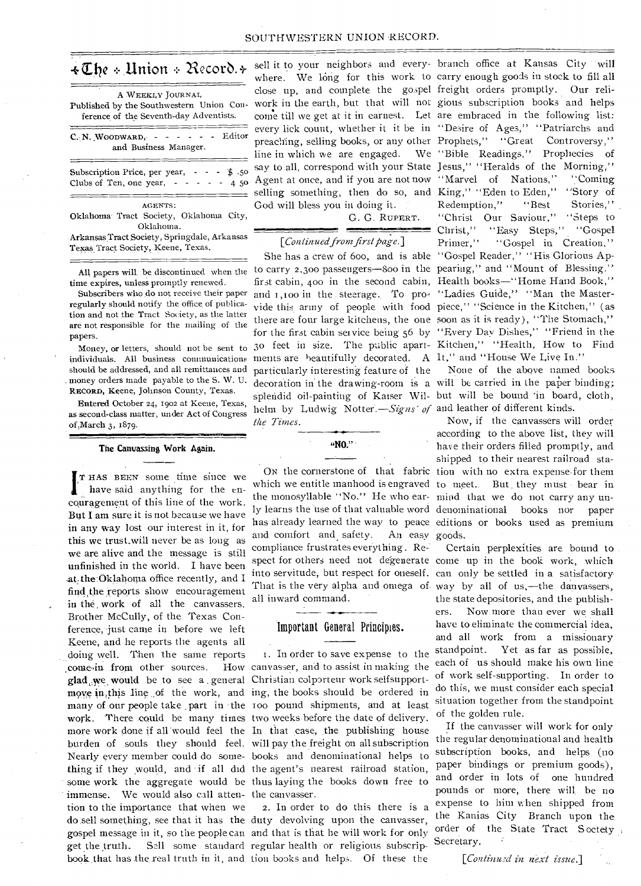# *+TIN* :.Union 21ecorb.4-

| A WEEKLY JOURNAL<br>Published by the Southwestern Union Con-<br>ference of the Seventh-day Adventists. |  |  |  |  |  |  |  |  |  |
|--------------------------------------------------------------------------------------------------------|--|--|--|--|--|--|--|--|--|
| and Business Manager.                                                                                  |  |  |  |  |  |  |  |  |  |
| Subscription Price, per year, - - - \$.50<br>Clubs of Ten, one year, $- - - - 45$                      |  |  |  |  |  |  |  |  |  |
| AGENTS:                                                                                                |  |  |  |  |  |  |  |  |  |
| Oklahoma Tract Society, Oklahoma City,                                                                 |  |  |  |  |  |  |  |  |  |
| Oklahoma.                                                                                              |  |  |  |  |  |  |  |  |  |
| Arkansas Tract Society, Springdale, Arkansas                                                           |  |  |  |  |  |  |  |  |  |
| Texas Tract Society, Keene, Texas.                                                                     |  |  |  |  |  |  |  |  |  |

All papers will be discontinued when the time expires, unless promptly renewed.

Subscribers who do not receive their paper regularly should notify the office of publication and not the Tract Society, as the latter are not responsible for the mailing of the papers.

Money, or letters, should not be sent to individuals. All business communications should be addressed, and all remittances and money orders made payable to the S. W. U. RECORD, Keene, Johnson County, Texas.

Entered October 24, 1902 at Keene, Texas, as second-class matter, under Act of Congress of March 3, 1879.

#### The Canvassing Work Again.

I T HAS BEEN some time since we have said anything for the encouragement of this line of the work. But I am sure it is not because we have in any way lost our interest in it, for this we trust\_will never be as long as we are alive and the message is still unfinished in the world. I have been at, the Oklahoma office recently, and I find the reports show encouragement in the. work of all the canvassers. Brother McCully, of the Texas Conference, just came in before we left Keene, and he reports the agents all doing well. Then the same reports come in from other sources. glad,,yve, would be to see a . general Christian colporteur work selfsupportmove in this line of the work, and ing, the books should be ordered in many of our people take part in the 100 pound shipments, and at least work. There could be many times two weeks before the date of delivery. more work done if all would feel the In that case, the publishing house burden of souls they should feel. will pay the freight on all subscription Nearly every member could do some-books and denominational helps to thing if they would, and if all did the agent's nearest railroad station, some work the aggregate would be thus laying the books down free to immense. We would also call atten-the canvasser. tion to the importance that when we do .sell something, see that it has the duty devolving upon the canvasser, gospel message in it, so the people can and that is that he will work for only get the truth. Sell some standard regular health or religious subscrip-

sell it to your neighbors and every- branch office at Kansas City will God will bless you in doing it.

> G. G. RUPERT. **•**

#### *[Continued from first page.1*

ments are beautifully decorated. A It," and "House We Live In." particularly interesting feature of the helm by Ludwig Notter. - Signs' of and leather of different kinds. *the Times.* 

**"NO." •** 

and comfort and safety. compliance frustrates everything . Re: all inward command. An easy goods.

### Important General Principles.

In order to save expense to the How canvasser, and to assist in making the

book.that has the real truth in it, and tion books and helps. Of these the 2. In order to do this there is a

where. We long for this work to carry enough goods in stock to fill all close up, and complete the gospel freight orders promptly. Our reliwork in the earth, but that will not gious subscription books and helps come till we get at it in earnest. Let are embraced in the following list: every lick count, whether it it be in "Desire of Ages," "Patriarchs and preaching, selling books, or any other Prophets," "Great Controversy," line in which we are engaged. We "Bible Readings." Prophecies of If the in which we are engaged. We have Readings, roomedies of say to all, correspond with your State Jesus," "Heralds of the Morning," Agent at once, and if you are not now "Marvel of Nations," "Coming selling something, then do so, and King," "Eden to Eden," "Story of She has a crew of boo, and is able "Gospel Reader," "His Glorious Apto carry 2,300 passengers-800 in the pearing," and "Mount of Blessing." first cabin, 400 in the second cabin, Health books—"Home Hand Book," and 1,100 in the steerage. To pro- "Ladies Guide," "Man the Mastervide this army of people with food piece," "Science in the Kitchen," (as there are four large kitchens, the one soon as it is ready), ''The Stomach," for the first cabin service being 56 by "Every Day Dishes," "Friend in the 3o feet in size. The public apart-Kitchen," "Health, How to Find Redemption," "Best Stories," "Christ Our Saviour," "Steps to Christ," "Easy Steps," "Gospel Primer," "Gospel in Creation,"

decoration in the drawing-room is a will be carried in the paper binding; splendid oil-painting of Kaiser Wil-but will be bound 'in board, cloth, None of the above named books

ON the cornerstone of that fabric tion with no extra expense.for them which we entitle manhood is engraved to meet.. But. they must • bear in the monosyllable "No." He who ear-mind that we do not carry any unly learns the use of that valuable word denominational books nor paper has already learned the way to peace editions or books used as premium Now, if the canvassers will order according to the above list, they will have their orders filled promptly, and shipped to their nearest railroad sta-

spect for others need not degenerate come up in the book work, which into servitude, but respect for oneself. can only be settled in a satisfactory That is the very alpha and omega of way by all of us,—the danvassers, Certain perplexities are bound to the state depositories, and the publishers. Now more than ever we shall have to eliminate the commercial idea, and all work from a missionary standpoint. Yet as far as possible, each of -us should make his own line of work self-supporting. In order to do this, we must consider each special situation together from the standpoint of the golden rule.

> If the canvasser will work for only the regular denominational and health subscription books, and helps (no paper bindings or premium goods), and order in lots of one hundred pounds or more, there will be no expense to him when shipped from the Kanias City - Branch upon the order of the State Tract Soctety, Secretary.

> > *[Conlinzt.ul in next issue.]*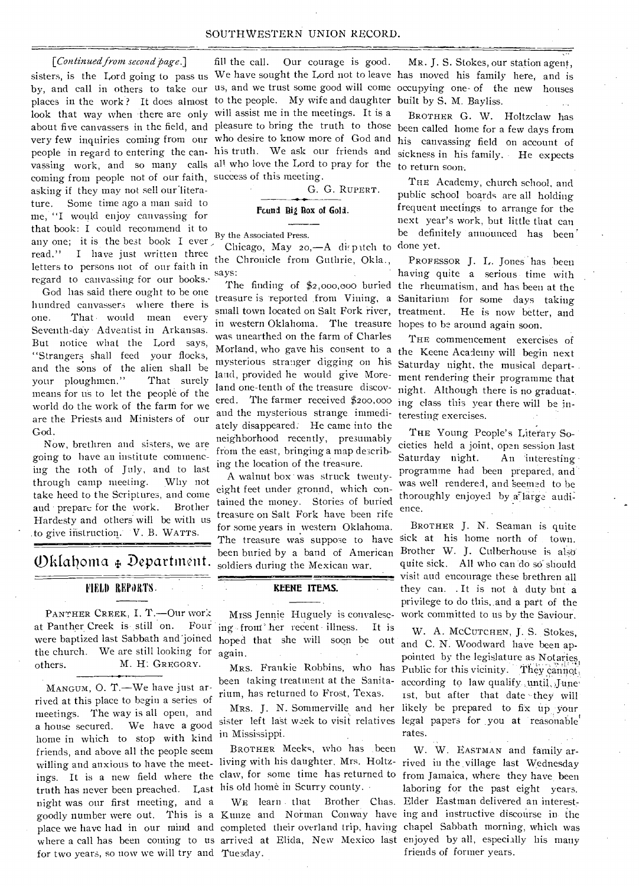#### SOUTHWESTERN UNION RECORD.

#### *[Continued from second page.]*

sisters, is the Lord going to pass us We have sought the Lord not to leave has moved his family here, and is by, and call in others to take our us, and we trust some good will come occupying one- of the new houses places in the work? It does almost to the people. My wife and daughter look that way when there are only will assist me in the meetings. It is a about five canvassers in the field, and pleasure to bring the truth to those been called home for a few days from very few inquiries coming from our who desire to know more of God and people in regard to entering the can- his truth. We ask our friends and vassing work, and so many calls all who love the Lord to pray for the coming from people not of our faith, success of this meeting. asking if they may not sell our'literature. Some time ago a man said to me, "I would enjoy canvassing for that book: I could recommend it to any one; it is the best book I ever, read." I have just written three letters to persons not of our faith in regard to canvassing for our books.-

God has said there ought to be one hundred canvassers where there is one. That would mean every Seventh-day - Adventist in Arkansas. But notice what the Lord says, "Strangers shall feed your flocks, and the sons of the alien shall be your ploughmen." That surely means for us to let the people of the world do the work of the farm for we are the Priests and Ministers of our God.

Now, brethren and sisters, we are going to have an institute commencing the Toth of July, and to last through camp meeting. Why not take heed to the Scriptures, and come and • prepare for the work. Brother Hardesty and others will be with us to give instruction. V. B. WATTS.

# (\_)kIcalonia Departiwnt.

# FIELD REPORTS.

the church. We are still looking for  $a<sub>gain</sub>$ . PANTHER CREEK, I. T.-Our work at Panther Creek is still on. Four were baptized last Sabbath and"joined others. M. H: GREGORY.

MANGUM, 0. T.—We have just arrived at this place to begin a series of meetings. The way is all open, and a house secured. We have a good home in which to stop with kind friends, and above all the people seem willing and anxious to have the meet-living with his daughter. Mrs. Holtz- rived in the village last Wednesday truth has never been preached. Last his old home in Scurry county. • night was our first meeting, and a for two years, so now we will try and Tuesday.

fill the call. Our courage is good.

G. G. RUPERT.

# Fcund Big Box of Gold.

#### By the Associated Press. •

Chicago, May  $20, -A$  dispitch to done yet. the Chronicle from Guthrie, Okla., says:

small town located on Salt Fork river, in western Oklahoma. The treasure hopes to be around again soon. was unearthed on the farm of Charles mysterious stranger digging on his land, provided he would give Moreland one-tenth of the treasure discovered. The farmer received \$200,000 and the mysterious strange immediately disappeared: He came into the neighborhood recently, presumably from the east, bringing a map describing the location of the treasure.

A walnut box was struck twentyeight feet under gronnd, which contained the money. Stories of buried treasure on Salt Fork have been rife for some years in western Oklahoma. The treasure was suppose to have sick at his home north of town. soldiers during the Mexican war.

### **KEENE ITEMS.**

Miss Jennie Huguely is convalescing from her recent illness. It is hoped that she will soon be out

been taking treatment at the Sanitarium, has returned to Frost, Texas.

in Mississippi.

BROTHER Meeks, who has been

MR. J. S. Stokes, our station agent, built by S, M. Bayliss.

BROTHER G. W. Holtzclaw has his canvassing field on account of sickness in his family. He expects to return soon.

THE Academy, church school, and public school boards are all holding frequent meetings to arrange for the next year's work, but little that can be definitely announced has been'

The finding of \$2,000,000 buried the rheumatism, and has been at the treasure is reported .from Vining, a Sanitarium for some days taking PROFESSOR J. L. Jones has been having quite a serious time with He is now better, and

Morland, who gave his consent to a the Keene Academy will begin next THE commencement exercises of Saturday night, the musical department rendering their programme that night. Although there is no graduat-. ing class this year there will be interesting exercises.

> THE Young People's Literary Societies held a joint, open session last Saturday night. An 'interesting• programme had been prepared, and was well rendered, and 'seemed to he thoroughly enjoyed by a large audience.

been buried by a band of American Brother W. J. Culberhouse is also' BROTHER J. N. Seaman is quite quite sick. All who can do so should visit and encourage these brethren all they can. . It is not a duty but a privilege to do this,,and a part of the work committed to us by the Saviour.

MRS. Frankie Robbins, who has Public for this vicinity. They cannot, Mrs. J. N. Sommerville and her likely be prepared to fix up your sister left last week to visit relatives legal papers for you at reasonable W. A. MCCUTCHEN, J. S. Stokes, and C. N. Woodward have been appointed by the legislature as Notaries according to law qualify ,until, June' ist, but after that date they will rates.

ings. It is a new field where the claw, for some time has returned to from Jamaica, where they have been goodly number were out. This is a Kunze and Norman Conway have ing and instructive discourse in the place we have had in our mind and completed their overland trip, having chapel Sabbath morning, which was .<br>where a call has been coming to us arrived at Elida, New Mexico last enjoyed by all, especially his many WE learn . that Brother Chas. Elder Eastman delivered an interest-W. W. EASTMAN and family arlaboring for the past eight years. friends of former years.